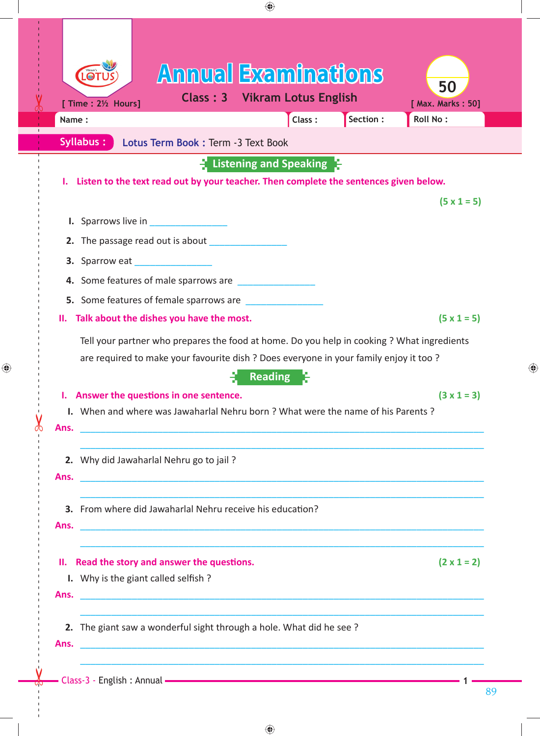|                                                                                  |                                                                                                                                                                                                                                     | Section : | [ Max. Marks: 50]<br>Roll No: |
|----------------------------------------------------------------------------------|-------------------------------------------------------------------------------------------------------------------------------------------------------------------------------------------------------------------------------------|-----------|-------------------------------|
| Syllabus:                                                                        | Lotus Term Book: Term -3 Text Book                                                                                                                                                                                                  |           |                               |
|                                                                                  | $\Gamma$ Listening and Speaking $\Gamma$                                                                                                                                                                                            |           |                               |
|                                                                                  | I. Listen to the text read out by your teacher. Then complete the sentences given below.                                                                                                                                            |           | $(5 \times 1 = 5)$            |
| I. Sparrows live in                                                              |                                                                                                                                                                                                                                     |           |                               |
|                                                                                  | 2. The passage read out is about                                                                                                                                                                                                    |           |                               |
| 3. Sparrow eat                                                                   |                                                                                                                                                                                                                                     |           |                               |
|                                                                                  | 4. Some features of male sparrows are                                                                                                                                                                                               |           |                               |
|                                                                                  | 5. Some features of female sparrows are                                                                                                                                                                                             |           | $(5 \times 1 = 5)$            |
|                                                                                  | II. Talk about the dishes you have the most.                                                                                                                                                                                        |           |                               |
|                                                                                  | Tell your partner who prepares the food at home. Do you help in cooking ? What ingredients<br>are required to make your favourite dish ? Does everyone in your family enjoy it too ?                                                |           |                               |
|                                                                                  |                                                                                                                                                                                                                                     |           |                               |
|                                                                                  | <b>Reading</b>                                                                                                                                                                                                                      |           |                               |
|                                                                                  |                                                                                                                                                                                                                                     |           | $(3 \times 1 = 3)$            |
|                                                                                  | I. When and where was Jawaharlal Nehru born ? What were the name of his Parents ?                                                                                                                                                   |           |                               |
|                                                                                  |                                                                                                                                                                                                                                     |           |                               |
| 2. Why did Jawaharlal Nehru go to jail?                                          |                                                                                                                                                                                                                                     |           |                               |
|                                                                                  |                                                                                                                                                                                                                                     |           |                               |
|                                                                                  | 3. From where did Jawaharlal Nehru receive his education?                                                                                                                                                                           |           |                               |
|                                                                                  | Ans. <b>Example 20</b> No. 2014 19:30 and 20 No. 2014 19:30 and 20:30 and 20:30 and 20:30 and 20:30 and 20:30 and 20:30 and 20:30 and 20:30 and 20:30 and 20:30 and 20:30 and 20:30 and 20:30 and 20:30 and 20:30 and 20:30 and 20: |           |                               |
|                                                                                  | II. Read the story and answer the questions.                                                                                                                                                                                        |           | $(2 \times 1 = 2)$            |
| I. Answer the questions in one sentence.<br>I. Why is the giant called selfish ? |                                                                                                                                                                                                                                     |           |                               |
|                                                                                  | Ans. <b>Ansel and Ansel and Ansel and Ansel and Ansel and Ansel and Ansel and Ansel and Ansel and Ansel and Ansel and A</b>                                                                                                         |           |                               |

 $\bigoplus$ 

| × | I<br>I  |
|---|---------|
| × | ۰.<br>v |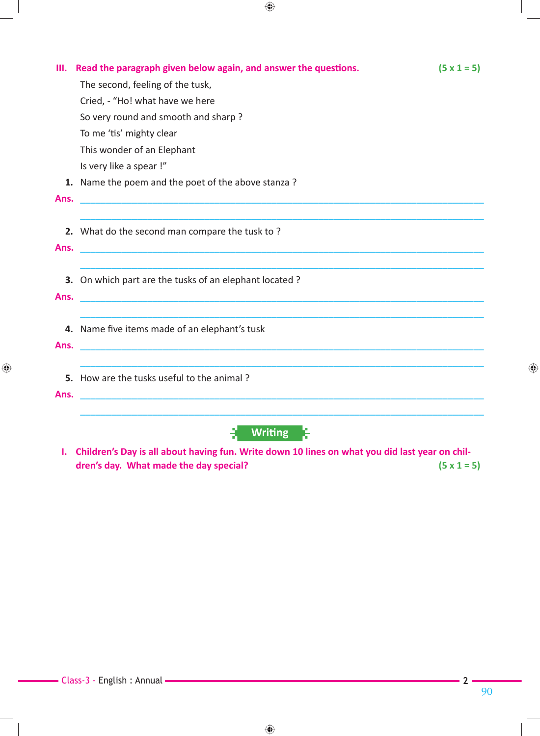| Ш.   | Read the paragraph given below again, and answer the questions.                                                        | $(5 \times 1 = 5)$ |
|------|------------------------------------------------------------------------------------------------------------------------|--------------------|
|      | The second, feeling of the tusk,                                                                                       |                    |
|      | Cried, - "Ho! what have we here                                                                                        |                    |
|      | So very round and smooth and sharp?                                                                                    |                    |
|      | To me 'tis' mighty clear                                                                                               |                    |
|      | This wonder of an Elephant                                                                                             |                    |
|      | Is very like a spear !"                                                                                                |                    |
|      | 1. Name the poem and the poet of the above stanza?                                                                     |                    |
| Ans. | <u> 1980 - Jan Barbara, margaret eta biztanleria (h. 1980).</u>                                                        |                    |
|      |                                                                                                                        |                    |
|      | 2. What do the second man compare the tusk to?                                                                         |                    |
| Ans. |                                                                                                                        |                    |
|      |                                                                                                                        |                    |
|      | 3. On which part are the tusks of an elephant located?                                                                 |                    |
| Ans. |                                                                                                                        |                    |
|      |                                                                                                                        |                    |
|      | 4. Name five items made of an elephant's tusk                                                                          |                    |
| Ans. | <u> 1989 - Johann Barn, mars ann an t-Amhain ann an t-Amhain ann an t-Amhain ann an t-Amhain an t-Amhain ann an t-</u> |                    |
|      |                                                                                                                        |                    |
|      | 5. How are the tusks useful to the animal?                                                                             |                    |
|      |                                                                                                                        |                    |
| Ans. |                                                                                                                        |                    |
|      |                                                                                                                        |                    |
|      | <b>Writing</b>                                                                                                         |                    |

 $\bigoplus$ 

**I. Children's Day is all about having fun. Write down 10 lines on what you did last year on chil**dren's day. What made the day special? (5 x 1 = 5)

 $\bigoplus$ 

 $\bigoplus$ 

◈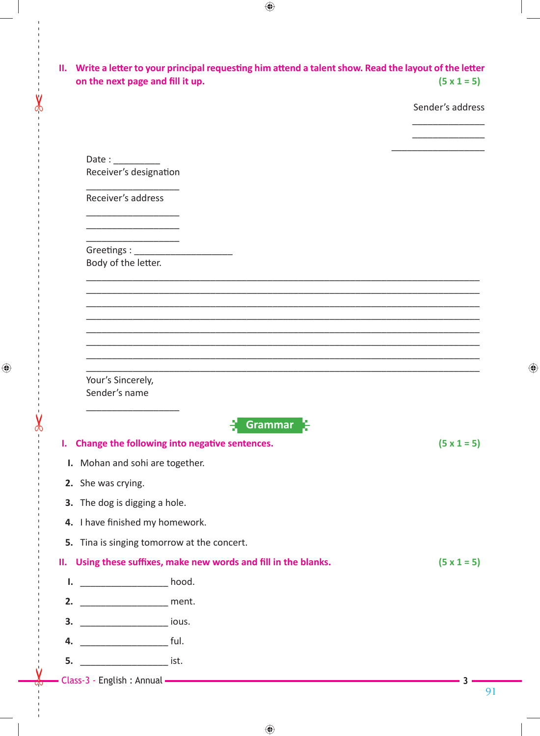|                                                                  | Sender's address                         |
|------------------------------------------------------------------|------------------------------------------|
|                                                                  |                                          |
|                                                                  |                                          |
| Date : $\frac{1}{2}$<br>Receiver's designation                   |                                          |
|                                                                  |                                          |
| Receiver's address                                               |                                          |
|                                                                  |                                          |
|                                                                  |                                          |
| Greetings : _______________________                              |                                          |
| Body of the letter.                                              |                                          |
|                                                                  |                                          |
|                                                                  |                                          |
|                                                                  |                                          |
|                                                                  |                                          |
|                                                                  |                                          |
|                                                                  |                                          |
| Your's Sincerely,<br>Sender's name                               |                                          |
| <b>Grammar</b>                                                   |                                          |
| Change the following into negative sentences.                    |                                          |
| I. Mohan and sohi are together.                                  |                                          |
| 2. She was crying.                                               |                                          |
| 3. The dog is digging a hole.                                    |                                          |
| 4. I have finished my homework.                                  |                                          |
| 5. Tina is singing tomorrow at the concert.                      |                                          |
| II. Using these suffixes, make new words and fill in the blanks. |                                          |
| Ι.                                                               |                                          |
| ________________________ hood.<br>2.                             | $(5 \times 1 = 5)$<br>$(5 \times 1 = 5)$ |
| <b>Marshall</b> ment.                                            |                                          |
| 3.<br>4.                                                         |                                          |

 $\bigoplus$ 

 $\leftarrow$ 

 $\chi$ 

 $\bigoplus$ 

 $\frac{1}{8}$ 

 $\bigoplus$